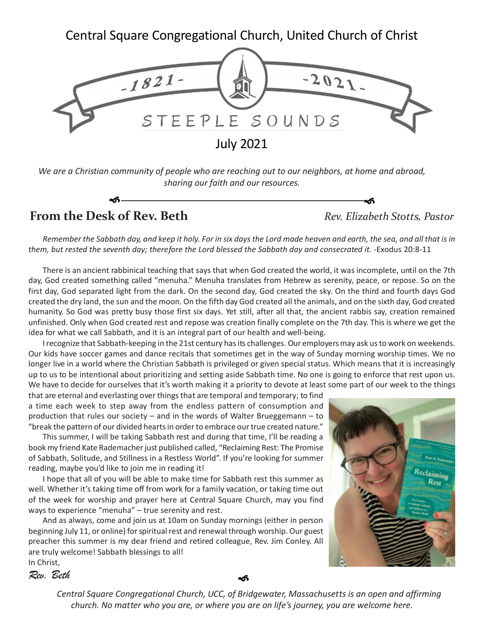Central Square Congregational Church, United Church of Christ



*We are a Christian community of people who are reaching out to our neighbors, at home and abroad, sharing our faith and our resources.*

**From the Desk of Rev. Beth** *Rev. Elizabeth Stotts, Pastor*

*Remember the Sabbath day, and keep it holy. For in six days the Lord made heaven and earth, the sea, and all that is in them, but rested the seventh day; therefore the Lord blessed the Sabbath day and consecrated it. -*Exodus 20:8-11

არ კი სახელი და სახელი და სახელი და სახელი და სახელი და სახელი და სახელი და სახელი და სახელი და სახელი და სახე

There is an ancient rabbinical teaching that says that when God created the world, it was incomplete, until on the 7th day, God created something called "menuha." Menuha translates from Hebrew as serenity, peace, or repose. So on the first day, God separated light from the dark. On the second day, God created the sky. On the third and fourth days God created the dry land, the sun and the moon. On the fifth day God created all the animals, and on the sixth day, God created humanity. So God was pretty busy those first six days. Yet still, after all that, the ancient rabbis say, creation remained unfinished. Only when God created rest and repose was creation finally complete on the 7th day. This is where we get the idea for what we call Sabbath, and it is an integral part of our health and well-being.

I recognize that Sabbath-keeping in the 21st century has its challenges. Our employers may ask us to work on weekends. Our kids have soccer games and dance recitals that sometimes get in the way of Sunday morning worship times. We no longer live in a world where the Christian Sabbath is privileged or given special status. Which means that it is increasingly up to us to be intentional about prioritizing and setting aside Sabbath time. No one is going to enforce that rest upon us. We have to decide for ourselves that it's worth making it a priority to devote at least some part of our week to the things

that are eternal and everlasting over things that are temporal and temporary; to find a time each week to step away from the endless pattern of consumption and production that rules our society – and in the words of Walter Brueggemann – to "break the pattern of our divided hearts in order to embrace our true created nature."

This summer, I will be taking Sabbath rest and during that time, I'll be reading a book my friend Kate Rademacher just published called, "Reclaiming Rest: The Promise of Sabbath, Solitude, and Stillness in a Restless World". If you're looking for summer reading, maybe you'd like to join me in reading it!

I hope that all of you will be able to make time for Sabbath rest this summer as well. Whether it's taking time off from work for a family vacation, or taking time out of the week for worship and prayer here at Central Square Church, may you find ways to experience "menuha" – true serenity and rest.

And as always, come and join us at 10am on Sunday mornings (either in person beginning July 11, or online) for spiritual rest and renewal through worship. Our guest preacher this summer is my dear friend and retired colleague, Rev. Jim Conley. All are truly welcome! Sabbath blessings to all! In Christ,



*Rev. Beth*

କ

**Central Square Congregational Church, UCC** ••**200 Years! 1821-2021** •**July 2021** *Central Square Congregational Church, UCC, of Bridgewater, Massachusetts is an open and affirming* church. No matter who you are, or where you are on life's journey, you are welcome here.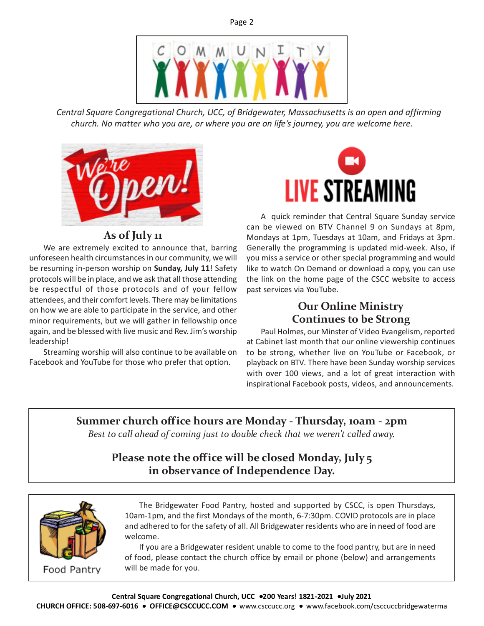

*Central Square Congregational Church, UCC, of Bridgewater, Massachusetts is an open and affirming church. No matter who you are, or where you are on life's journey, you are welcome here.*



## **As of July 11**

We are extremely excited to announce that, barring unforeseen health circumstances in our community, we will be resuming in-person worship on **Sunday, July 11**! Safety protocols will be in place, and we ask that all those attending be respectful of those protocols and of your fellow attendees, and their comfort levels. There may be limitations on how we are able to participate in the service, and other minor requirements, but we will gather in fellowship once again, and be blessed with live music and Rev. Jim's worship leadership!

Streaming worship will also continue to be available on Facebook and YouTube for those who prefer that option.



A quick reminder that Central Square Sunday service can be viewed on BTV Channel 9 on Sundays at 8pm, Mondays at 1pm, Tuesdays at 10am, and Fridays at 3pm. Generally the programming is updated mid-week. Also, if you miss a service or other special programming and would like to watch On Demand or download a copy, you can use the link on the home page of the CSCC website to access past services via YouTube.

## **Our Online Ministry Continues to be Strong**

Paul Holmes, our Minster of Video Evangelism, reported at Cabinet last month that our online viewership continues to be strong, whether live on YouTube or Facebook, or playback on BTV. There have been Sunday worship services with over 100 views, and a lot of great interaction with inspirational Facebook posts, videos, and announcements.

**Summer church office hours are Monday - Thursday, 10am - 2pm** *Best to call ahead of coming just to double check that we weren't called away.*

# **Please note the office will be closed Monday, July 5 in observance of Independence Day.**



Food Pantry

The Bridgewater Food Pantry, hosted and supported by CSCC, is open Thursdays, 10am-1pm, and the first Mondays of the month, 6-7:30pm. COVID protocols are in place and adhered to for the safety of all. All Bridgewater residents who are in need of food are welcome.

If you are a Bridgewater resident unable to come to the food pantry, but are in need of food, please contact the church office by email or phone (below) and arrangements will be made for you.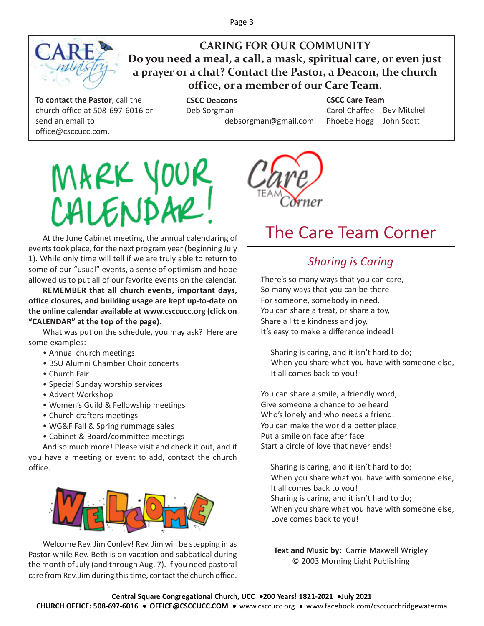

**CARING FOR OUR COMMUNITY Do you need a meal, a call, a mask, spiritual care, or even just a prayer or a chat? Contact the Pastor, a Deacon, the church office, or a member of our Care Team.**

**To contact the Pastor**, call the church office at 508-697-6016 or send an email to office@csccucc.com.

**CSCC Deacons** Deb Sorgman – debsorgman@gmail.com

**CSCC Care Team** Carol Chaffee Bev Mitchell Phoebe Hogg John Scott





# The Care Team Corner

At the June Cabinet meeting, the annual calendaring of events took place, for the next program year (beginning July 1). While only time will tell if we are truly able to return to some of our "usual" events, a sense of optimism and hope allowed us to put all of our favorite events on the calendar.

**REMEMBER that all church events, important days, office closures, and building usage are kept up-to-date on the online calendar available at www.csccucc.org (click on "CALENDAR" at the top of the page).**

What was put on the schedule, you may ask? Here are some examples:

- Annual church meetings
- BSU Alumni Chamber Choir concerts
- Church Fair
- Special Sunday worship services
- Advent Workshop
- Women's Guild & Fellowship meetings
- Church crafters meetings
- WG&F Fall & Spring rummage sales
- Cabinet & Board/committee meetings

And so much more! Please visit and check it out, and if you have a meeting or event to add, contact the church office.



Welcome Rev. Jim Conley! Rev. Jim will be stepping in as Pastor while Rev. Beth is on vacation and sabbatical during the month of July (and through Aug. 7). If you need pastoral care from Rev. Jim during this time, contact the church office.

# *Sharing is Caring*

There's so many ways that you can care, So many ways that you can be there For someone, somebody in need. You can share a treat, or share a toy, Share a little kindness and joy, It's easy to make a difference indeed!

 Sharing is caring, and it isn't hard to do; When you share what you have with someone else, It all comes back to you!

You can share a smile, a friendly word, Give someone a chance to be heard Who's lonely and who needs a friend. You can make the world a better place, Put a smile on face after face Start a circle of love that never ends!

 Sharing is caring, and it isn't hard to do; When you share what you have with someone else, It all comes back to you! Sharing is caring, and it isn't hard to do; When you share what you have with someone else, Love comes back to you!

**Text and Music by:** Carrie Maxwell Wrigley © 2003 Morning Light Publishing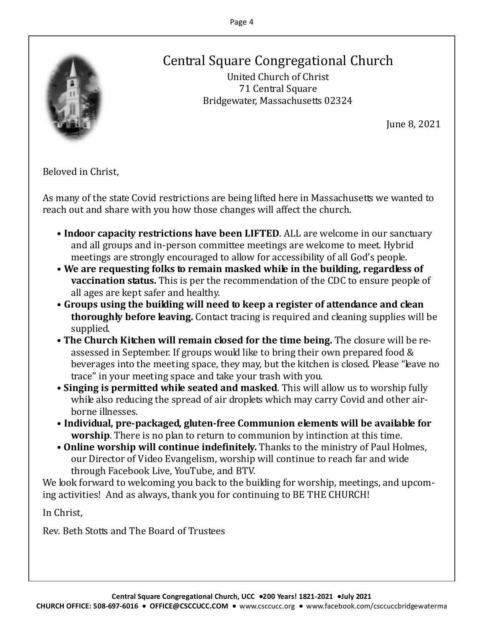

# Central Square Congregational Church

United Church of Christ 71 Central Square Bridgewater, Massachusetts 02324

June 8, 2021

Beloved in Christ,

As many of the state Covid restrictions are being lifted here in Massachusetts we wanted to reach out and share with you how those changes will affect the church.

- **Indoor capacity restrictions have been LIFTED**. ALL are welcome in our sanctuary and all groups and in-person committee meetings are welcome to meet. Hybrid meetings are strongly encouraged to allow for accessibility of all God's people.
- **We are requesting folks to remain masked while in the building, regardless of vaccination status.** This is per the recommendation of the CDC to ensure people of all ages are kept safer and healthy.
- **Groups using the building will need to keep a register of attendance and clean thoroughly before leaving.** Contact tracing is required and cleaning supplies will be supplied.
- **The Church Kitchen will remain closed for the time being.** The closure will be reassessed in September. If groups would like to bring their own prepared food & beverages into the meeting space, they may, but the kitchen is closed. Please "leave no trace" in your meeting space and take your trash with you.
- **Singing is permitted while seated and masked**. This will allow us to worship fully while also reducing the spread of air droplets which may carry Covid and other airborne illnesses.
- **Individual, pre-packaged, gluten-free Communion elements will be available for worship**. There is no plan to return to communion by intinction at this time.
- **Online worship will continue indefinitely.** Thanks to the ministry of Paul Holmes, our Director of Video Evangelism, worship will continue to reach far and wide through Facebook Live, YouTube, and BTV.

We look forward to welcoming you back to the building for worship, meetings, and upcoming activities! And as always, thank you for continuing to BE THE CHURCH!

In Christ,

Rev. Beth Stotts and The Board of Trustees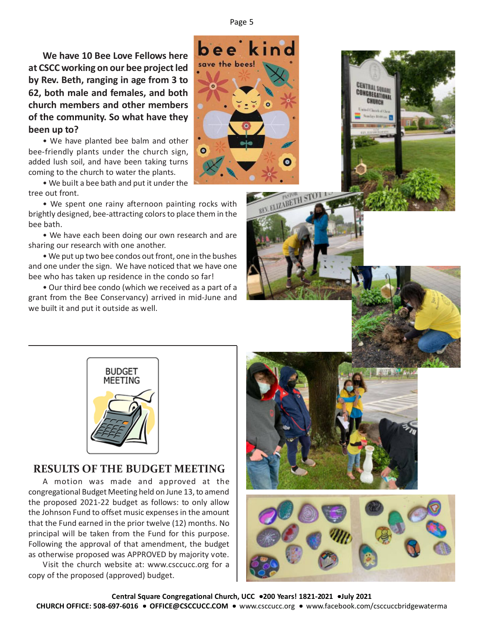**We have 10 Bee Love Fellows here at CSCC working on our bee project led by Rev. Beth, ranging in age from 3 to 62, both male and females, and both church members and other members of the community. So what have they been up to?**

• We have planted bee balm and other bee-friendly plants under the church sign, added lush soil, and have been taking turns coming to the church to water the plants.

• We built a bee bath and put it under the tree out front.

• We spent one rainy afternoon painting rocks with brightly designed, bee-attracting colors to place them in the bee bath.

• We have each been doing our own research and are sharing our research with one another.

• We put up two bee condos out front, one in the bushes and one under the sign. We have noticed that we have one bee who has taken up residence in the condo so far!

• Our third bee condo (which we received as a part of a grant from the Bee Conservancy) arrived in mid-June and we built it and put it outside as well.





CENTRAL SQUARE<br>CONGREGATIONAL CHURCH



## **RESULTS OF THE BUDGET MEETING**

A motion was made and approved at the congregational Budget Meeting held on June 13, to amend the proposed 2021-22 budget as follows: to only allow the Johnson Fund to offset music expenses in the amount that the Fund earned in the prior twelve (12) months. No principal will be taken from the Fund for this purpose. Following the approval of that amendment, the budget as otherwise proposed was APPROVED by majority vote.

Visit the church website at: www.csccucc.org for a copy of the proposed (approved) budget.



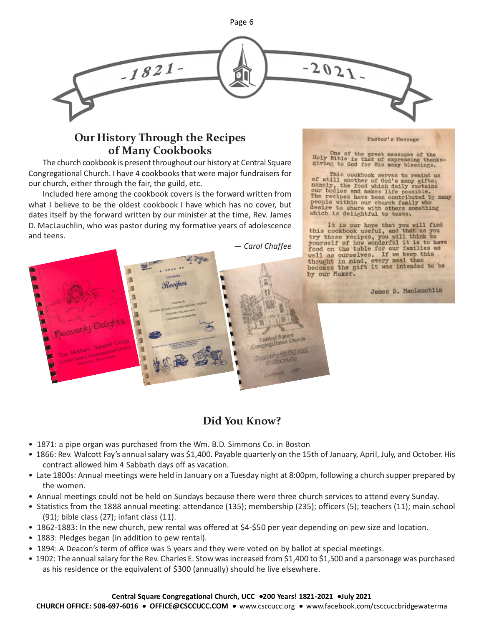

## **Our History Through the Recipes of Many Cookbooks**

The church cookbook is present throughout our history at Central Square Congregational Church. I have 4 cookbooks that were major fundraisers for our church, either through the fair, the guild, etc.

Included here among the cookbook covers is the forward written from what I believe to be the oldest cookbook I have which has no cover, but dates itself by the forward written by our minister at the time, Rev. James D. MacLauchlin, who was pastor during my formative years of adolescence and teens.

*— Carol Chaffee*

Pastor's Message

One of the great messages of the Holy Bible is that of expressing thanks-giving to God for His many blessings.

This cookbook serves to remind us<br>of still another of God's many gifts;<br>namely, the food which daily sustains<br>our bodies and makes life possible.<br>The recipes have been contributed by many<br>people within our church family wh

It is our hope that you will find this cookbook useful, and that as you try these recipes, you will think to yourself of how wonderful it is to have food on the table for our families as food on the table for our families as<br>well as ourselves. If we keep this<br>thought in mind, every meal then<br>becomes the gift it was intended to be<br>becomes the gift it was intended to be by our Maker.

James D. MacLauchlin



# **Did You Know?**

- 1871: a pipe organ was purchased from the Wm. B.D. Simmons Co. in Boston
- 1866: Rev. Walcott Fay's annual salary was \$1,400. Payable quarterly on the 15th of January, April, July, and October. His contract allowed him 4 Sabbath days off as vacation.
- Late 1800s: Annual meetings were held in January on a Tuesday night at 8:00pm, following a church supper prepared by the women.
- Annual meetings could not be held on Sundays because there were three church services to attend every Sunday.
- Statistics from the 1888 annual meeting: attendance (135); membership (235); officers (5); teachers (11); main school (91); bible class (27); infant class (11).
- 1862-1883: In the new church, pew rental was offered at \$4-\$50 per year depending on pew size and location.
- 1883: Pledges began (in addition to pew rental).
- 1894: A Deacon's term of office was 5 years and they were voted on by ballot at special meetings.
- 1902: The annual salary for the Rev. Charles E. Stow was increased from \$1,400 to \$1,500 and a parsonage was purchased as his residence or the equivalent of \$300 (annually) should he live elsewhere.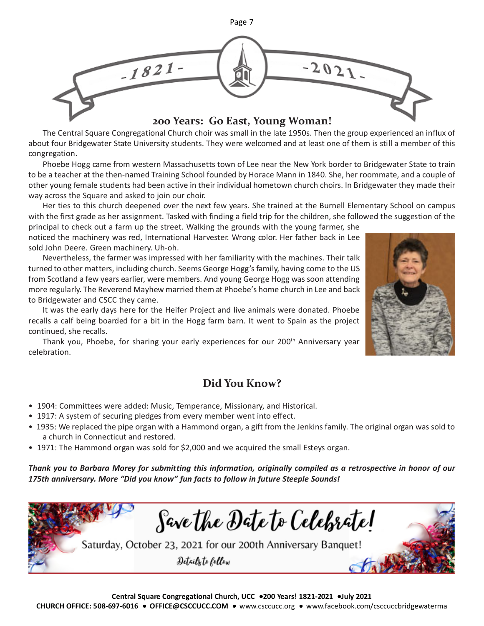

## The Central Square Congregational Church choir was small in the late 1950s. Then the group experienced an influx of about four Bridgewater State University students. They were welcomed and at least one of them is still a member of this congregation.

Phoebe Hogg came from western Massachusetts town of Lee near the New York border to Bridgewater State to train to be a teacher at the then-named Training School founded by Horace Mann in 1840. She, her roommate, and a couple of other young female students had been active in their individual hometown church choirs. In Bridgewater they made their way across the Square and asked to join our choir.

Her ties to this church deepened over the next few years. She trained at the Burnell Elementary School on campus with the first grade as her assignment. Tasked with finding a field trip for the children, she followed the suggestion of the

principal to check out a farm up the street. Walking the grounds with the young farmer, she noticed the machinery was red, International Harvester. Wrong color. Her father back in Lee sold John Deere. Green machinery. Uh-oh.

Nevertheless, the farmer was impressed with her familiarity with the machines. Their talk turned to other matters, including church. Seems George Hogg's family, having come to the US from Scotland a few years earlier, were members. And young George Hogg was soon attending more regularly. The Reverend Mayhew married them at Phoebe's home church in Lee and back to Bridgewater and CSCC they came.

It was the early days here for the Heifer Project and live animals were donated. Phoebe recalls a calf being boarded for a bit in the Hogg farm barn. It went to Spain as the project continued, she recalls.

Thank you, Phoebe, for sharing your early experiences for our  $200<sup>th</sup>$  Anniversary year celebration.

# **Did You Know?**

- 1904: Committees were added: Music, Temperance, Missionary, and Historical.
- 1917: A system of securing pledges from every member went into effect.
- 1935: We replaced the pipe organ with a Hammond organ, a gift from the Jenkins family. The original organ was sold to a church in Connecticut and restored.
- 1971: The Hammond organ was sold for \$2,000 and we acquired the small Esteys organ.

*Thank you to Barbara Morey for submitting this information, originally compiled as a retrospective in honor of our 175th anniversary. More "Did you know" fun facts to follow in future Steeple Sounds!*

Save the Date to Celebrate! Saturday, October 23, 2021 for our 200th Anniversary Banquet! Details to follow

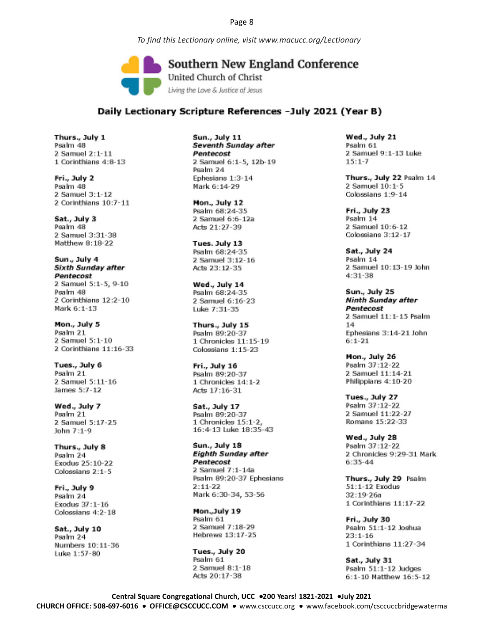*To find this Lectionary online, visit www.macucc.org/Lectionary*

Southern New England Conference United Church of Christ Living the Love & Justice of Jesus

## Daily Lectionary Scripture References -July 2021 (Year B)

Thurs., July 1 Psalm 48 2 Samuel 2:1-11 1 Corinthians 4:8-13

Fri., July 2 Psalm 48 2 Samuel 3:1-12 2 Corinthians 10:7-11

Sat., July 3 Psalm 48 2 Samuel 3:31-38 Matthew 8:18-22

Sun., July 4 Sixth Sunday after Pentecost 2 Samuel 5:1-5, 9-10 Psalm 48 2 Corinthians 12:2-10 Mark 6:1-13

Mon., July 5 Psalm 21 2 Samuel 5:1-10 2 Corinthians 11:16-33

Tues., July 6 Psalm 21 2 Samuel 5:11-16 James 5:7-12

Wed., July 7 Psalm 21 2 Samuel 5:17-25 John 7:1-9

Thurs., July 8 Psalm 24 Exodus 25:10-22 Colossians 2:1-5

Fri., July 9 Psalm 24 Exodus 37:1-16 Colossians 4:2-18

Sat., July 10 Psalm 24 Numbers 10:11-36 Luke 1:57-80

Sun., July 11 Seventh Sunday after Pentecost 2 Samuel 6:1-5, 12b-19 Psalm 24 Ephesians 1:3-14 Mark 6:14-29

Mon., July 12 Psalm 68:24-35 2 Samuel 6:6-12a Acts 21:27-39

Tues. July 13 Psalm 68:24-35 2 Samuel 3:12-16 Acts 23:12-35

Wed., July 14 Psalm 68:24-35 2 Samuel 6:16-23 Luke 7:31-35

Thurs., July 15 Psalm 89:20-37 1 Chronicles 11:15-19 Colossians 1:15-23

Fri., July 16 Psalm 89:20-37 1 Chronicles 14:1-2 Acts 17:16-31

Sat., July 17 Psalm 89:20-37 1 Chronicles 15:1-2, 16:4-13 Luke 18:35-43

Sun., July 18 **Eighth Sunday after** Pentecost 2 Samuel 7:1-14a Psalm 89:20-37 Ephesians  $2:11-22$ Mark 6:30-34, 53-56

Mon.,July 19 Psalm 61 2 Samuel 7:18-29 Hebrews 13:17-25

Tues., July 20 Psalm 61 2 Samuel 8:1-18 Acts 20:17-38

Wed., July 21 Psalm 61 2 Samuel 9:1-13 Luke  $15:1 - 7$ 

Thurs., July 22 Psalm 14 2 Samuel 10:1-5 Colossians 1:9-14

Fri., July 23 Psalm 14 2 Samuel 10:6-12 Colossians 3:12-17

Sat., July 24 Psalm 14 2 Samuel 10:13-19 John  $4:31 - 38$ 

Sun., July 25 **Ninth Sunday after** Pentecost 2 Samuel 11:1-15 Psalm  $14$ Ephesians 3:14-21 John  $6:1 - 21$ 

Mon., July 26 Psalm 37:12-22 2 Samuel 11:14-21 Philippians 4:10-20

Tues., July 27 Psalm 37:12-22 2 Samuel 11:22-27 Romans 15:22-33

Wed., July 28 Psalm 37:12-22 2 Chronicles 9:29-31 Mark 6:35-44

Thurs., July 29 Psalm 51:1-12 Exodus 32:19-26a 1 Corinthians 11:17-22

Fri., July 30 Psalm 51:1-12 Joshua  $23:1 - 16$ 1 Corinthians 11:27-34

Sat., July 31 Psalm 51:1-12 Judges 6:1-10 Matthew 16:5-12

**Central Square Congregational Church, UCC** •**200 Years! 1821-2021** •**July 2021 CHURCH OFFICE: 508-697-6016** • **OFFICE@CSCCUCC.COM** •www.csccucc.org•www.facebook.com/csccuccbridgewaterma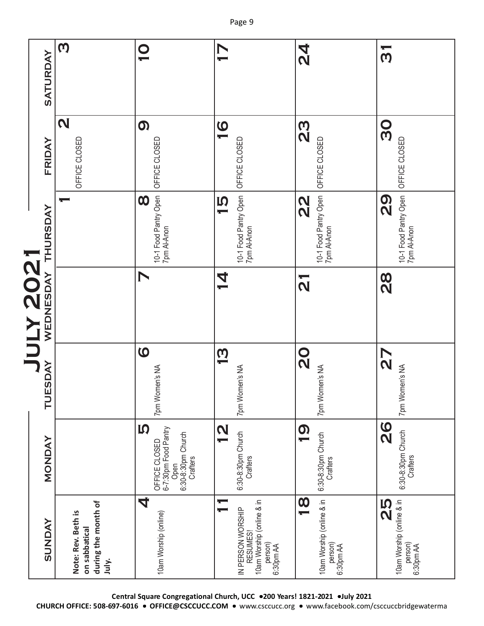|            | SATURDAY                  | $\boldsymbol{\omega}$                                               | $\bullet$                                                                                    | $\blacktriangleright$                                                                                | <b>Z4</b>                                                                    | $\overline{\phantom{a}}$<br>$\omega$                           |
|------------|---------------------------|---------------------------------------------------------------------|----------------------------------------------------------------------------------------------|------------------------------------------------------------------------------------------------------|------------------------------------------------------------------------------|----------------------------------------------------------------|
|            |                           | $\mathbf N$                                                         | $\boldsymbol{\Omega}$                                                                        |                                                                                                      |                                                                              |                                                                |
|            | FRIDAY                    | OFFICE CLOSED                                                       | OFFICE CLOSED                                                                                | $\overline{1}$<br>OFFICE CLOSED                                                                      | 29<br>20<br>OFFICE CLOSED                                                    | 80<br>OFFICE CLOSED                                            |
|            | THURSDAY                  |                                                                     | 10-1 Food Pantry Open<br>7pm Al-Anon<br>$\boldsymbol{\infty}$                                | 10-1 Food Pantry Open<br>7pm Al-Anon<br>$\overline{5}$                                               | 10-1 Food Pantry Open<br>7pm Al-Anon<br>$\frac{2}{3}$                        | 10-1 Food Pantry Open<br>7pm Al-Anon<br><b>Q2</b>              |
| SOZ<br>ZOZ | WEDNESDAY                 |                                                                     | $\blacktriangleright$                                                                        | <b>4</b>                                                                                             | $\overline{\overline{N}}$                                                    | $\frac{8}{2}$                                                  |
|            | <b>SDAY</b><br><b>TUE</b> |                                                                     | $\boldsymbol{\omega}$<br>7pm Women's NA                                                      | $\overline{\mathbf{\Omega}}$<br>7pm Women's NA                                                       | <b>O</b><br>7pm Women's NA                                                   | $\sum$<br>7pm Women's NA                                       |
|            | <b>MONDAY</b>             |                                                                     | <b>IQ</b><br>6-7:30pm Food Pantry<br>Open<br>6:30-8:30pm Church<br>OFFICE CLOSED<br>Crafters | $\overline{\mathbf{u}}$<br>6:30-8:30pm Church<br>Crafters                                            | 0<br>T<br>6:30-8:30pm Church<br>Crafters                                     | <b>26</b><br>6:30-8:30pm Church<br>Crafters                    |
|            | <b>SUNDAY</b>             | during the month of<br>Note: Rev. Beth is<br>on sabbatical<br>July. | 4<br>10am Worship (online)                                                                   | 10am Worship (online & in<br>$\overline{ }$<br>IN PERSON WORSHIP<br>RESUMES!<br>person)<br>6:30pm AA | $\overline{\mathbf{0}}$<br>10am Worship (online & in<br>person)<br>6:30pm AA | 10am Worship (online & in<br><b>SS</b><br>person)<br>6:30pm AA |

**Central Square Congregational Church, UCC** •**200 Years! 1821-2021** •**July 2021**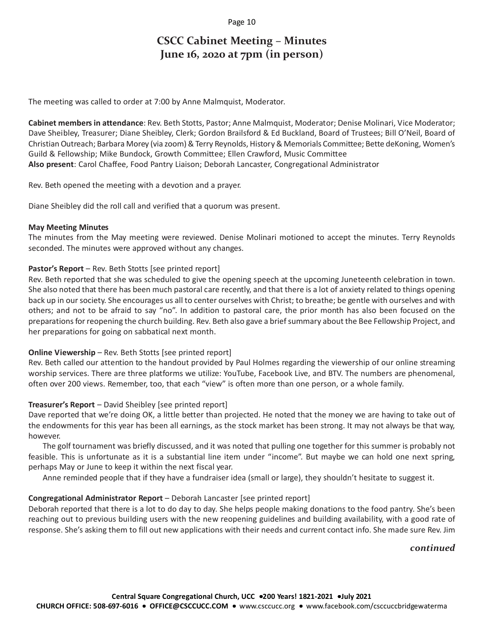## **CSCC Cabinet Meeting – Minutes June 16, 2020 at 7pm (in person)**

The meeting was called to order at 7:00 by Anne Malmquist, Moderator.

**Cabinet members in attendance**: Rev. Beth Stotts, Pastor; Anne Malmquist, Moderator; Denise Molinari, Vice Moderator; Dave Sheibley, Treasurer; Diane Sheibley, Clerk; Gordon Brailsford & Ed Buckland, Board of Trustees; Bill O'Neil, Board of Christian Outreach; Barbara Morey (via zoom) & Terry Reynolds, History & Memorials Committee; Bette deKoning, Women's Guild & Fellowship; Mike Bundock, Growth Committee; Ellen Crawford, Music Committee **Also present**: Carol Chaffee, Food Pantry Liaison; Deborah Lancaster, Congregational Administrator

Rev. Beth opened the meeting with a devotion and a prayer.

Diane Sheibley did the roll call and verified that a quorum was present.

#### **May Meeting Minutes**

The minutes from the May meeting were reviewed. Denise Molinari motioned to accept the minutes. Terry Reynolds seconded. The minutes were approved without any changes.

## **Pastor's Report** – Rev. Beth Stotts [see printed report]

Rev. Beth reported that she was scheduled to give the opening speech at the upcoming Juneteenth celebration in town. She also noted that there has been much pastoral care recently, and that there is a lot of anxiety related to things opening back up in our society. She encourages us all to center ourselves with Christ; to breathe; be gentle with ourselves and with others; and not to be afraid to say "no". In addition to pastoral care, the prior month has also been focused on the preparations for reopening the church building. Rev. Beth also gave a brief summary about the Bee Fellowship Project, and her preparations for going on sabbatical next month.

## **Online Viewership** – Rev. Beth Stotts [see printed report]

Rev. Beth called our attention to the handout provided by Paul Holmes regarding the viewership of our online streaming worship services. There are three platforms we utilize: YouTube, Facebook Live, and BTV. The numbers are phenomenal, often over 200 views. Remember, too, that each "view" is often more than one person, or a whole family.

## **Treasurer's Report** – David Sheibley [see printed report]

Dave reported that we're doing OK, a little better than projected. He noted that the money we are having to take out of the endowments for this year has been all earnings, as the stock market has been strong. It may not always be that way, however.

The golf tournament was briefly discussed, and it was noted that pulling one together for this summer is probably not feasible. This is unfortunate as it is a substantial line item under "income". But maybe we can hold one next spring, perhaps May or June to keep it within the next fiscal year.

Anne reminded people that if they have a fundraiser idea (small or large), they shouldn't hesitate to suggest it.

## **Congregational Administrator Report** – Deborah Lancaster [see printed report]

Deborah reported that there is a lot to do day to day. She helps people making donations to the food pantry. She's been reaching out to previous building users with the new reopening guidelines and building availability, with a good rate of response. She's asking them to fill out new applications with their needs and current contact info. She made sure Rev. Jim

## *continued*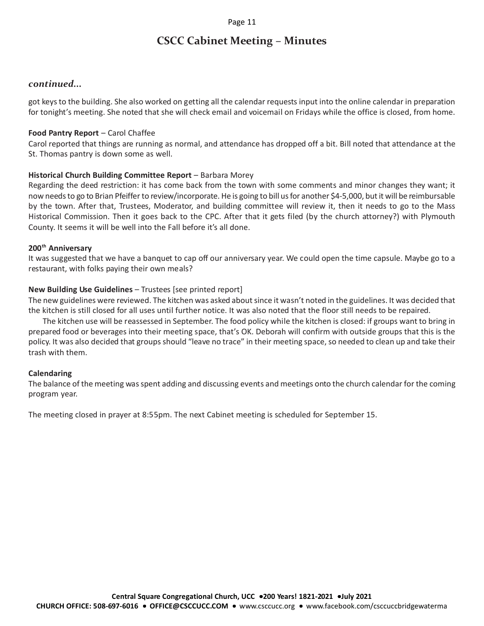## **CSCC Cabinet Meeting – Minutes**

#### *continued...*

got keys to the building. She also worked on getting all the calendar requests input into the online calendar in preparation for tonight's meeting. She noted that she will check email and voicemail on Fridays while the office is closed, from home.

#### **Food Pantry Report** – Carol Chaffee

Carol reported that things are running as normal, and attendance has dropped off a bit. Bill noted that attendance at the St. Thomas pantry is down some as well.

#### **Historical Church Building Committee Report** – Barbara Morey

Regarding the deed restriction: it has come back from the town with some comments and minor changes they want; it now needs to go to Brian Pfeiffer to review/incorporate. He is going to bill us for another \$4-5,000, but it will be reimbursable by the town. After that, Trustees, Moderator, and building committee will review it, then it needs to go to the Mass Historical Commission. Then it goes back to the CPC. After that it gets filed (by the church attorney?) with Plymouth County. It seems it will be well into the Fall before it's all done.

#### **200th Anniversary**

It was suggested that we have a banquet to cap off our anniversary year. We could open the time capsule. Maybe go to a restaurant, with folks paying their own meals?

#### **New Building Use Guidelines** – Trustees [see printed report]

The new guidelines were reviewed. The kitchen was asked about since it wasn't noted in the guidelines. It was decided that the kitchen is still closed for all uses until further notice. It was also noted that the floor still needs to be repaired.

The kitchen use will be reassessed in September. The food policy while the kitchen is closed: if groups want to bring in prepared food or beverages into their meeting space, that's OK. Deborah will confirm with outside groups that this is the policy. It was also decided that groups should "leave no trace" in their meeting space, so needed to clean up and take their trash with them.

#### **Calendaring**

The balance of the meeting was spent adding and discussing events and meetings onto the church calendar for the coming program year.

The meeting closed in prayer at 8:55pm. The next Cabinet meeting is scheduled for September 15.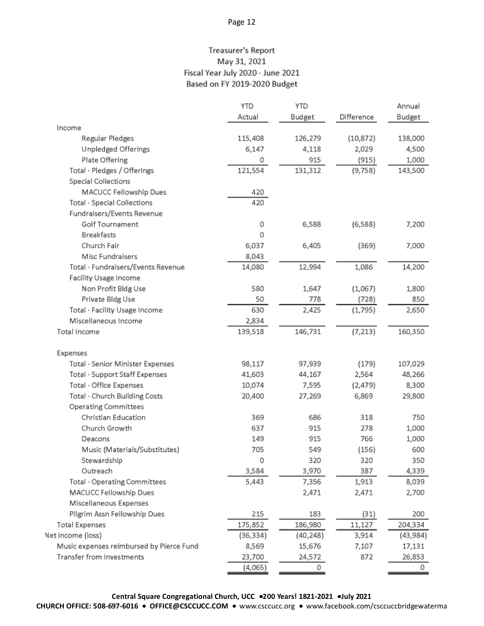## Treasurer's Report May 31, 2021 Fiscal Year July 2020 - June 2021 Based on FY 2019-2020 Budget

|                                          | <b>YTD</b> | <b>YTD</b> |            | Annual    |
|------------------------------------------|------------|------------|------------|-----------|
|                                          | Actual     | Budget     | Difference | Budget    |
| Income                                   |            |            |            |           |
| Regular Pledges                          | 115,408    | 126,279    | (10, 872)  | 138,000   |
| Unpledged Offerings                      | 6,147      | 4,118      | 2,029      | 4,500     |
| Plate Offering                           | 0          | 915        | (915)      | 1,000     |
| Total · Pledges / Offerings              | 121,554    | 131,312    | (9,758)    | 143,500   |
| Special Collections                      |            |            |            |           |
| MACUCC Fellowship Dues                   | 420        |            |            |           |
| Total · Special Collections              | 420        |            |            |           |
| Fundraisers/Events Revenue               |            |            |            |           |
| Golf Tournament                          | 0          | 6,588      | (6,588)    | 7,200     |
| <b>Breakfasts</b>                        | 0          |            |            |           |
| Church Fair                              | 6,037      | 6,405      | (369)      | 7,000     |
| Misc Fundraisers                         | 8,043      |            |            |           |
| Total · Fundraisers/Events Revenue       | 14,080     | 12,994     | 1,086      | 14,200    |
| Facility Usage Income                    |            |            |            |           |
| Non Profit Bldg Use                      | 580        | 1,647      | (1,067)    | 1,800     |
| Private Bldg Use                         | 50         | 778        | (728)      | 850       |
| Total · Facility Usage Income            | 630        | 2,425      | (1,795)    | 2,650     |
| Miscellaneous Income                     | 2,834      |            |            |           |
| Total Income                             | 139,518    | 146,731    | (7, 213)   | 160,350   |
| Expenses                                 |            |            |            |           |
| Total · Senior Minister Expenses         | 98,117     | 97,939     | (179)      | 107,029   |
| Total · Support Staff Expenses           | 41,603     | 44,167     | 2,564      | 48,266    |
| Total · Office Expenses                  | 10,074     | 7,595      | (2, 479)   | 8,300     |
| Total · Church Building Costs            | 20,400     | 27,269     | 6,869      | 29,800    |
| Operating Committees                     |            |            |            |           |
| Christian Education                      | 369        | 686        | 318        | 750       |
| Church Growth                            | 637        | 915        | 278        | 1,000     |
| Deacons                                  | 149        | 915        | 766        | 1,000     |
| Music (Materials/Substitutes)            | 705        | 549        | (156)      | 600       |
| Stewardship                              | 0          | 320        | 320        | 350       |
| Outreach                                 | 3,584      | 3,970      | 387        | 4,339     |
| Total · Operating Committees             | 5,443      | 7,356      | 1,913      | 8,039     |
| MACUCC Fellowship Dues                   |            | 2,471      | 2,471      | 2,700     |
| Miscellaneous Expenses                   |            |            |            |           |
| Pilgrim Assn Fellowship Dues             | 215        | 183        | (31)       | 200       |
| <b>Total Expenses</b>                    | 175,852    | 186,980    | 11,127     | 204,334   |
| Net income (loss)                        | (36, 334)  | (40, 248)  | 3,914      | (43, 984) |
| Music expenses reimbursed by Pierce Fund | 8,569      | 15,676     | 7,107      | 17,131    |
| Transfer from Investments                | 23,700     | 24,572     | 872        | 26,853    |
|                                          | (4,065)    | 0          |            | 0         |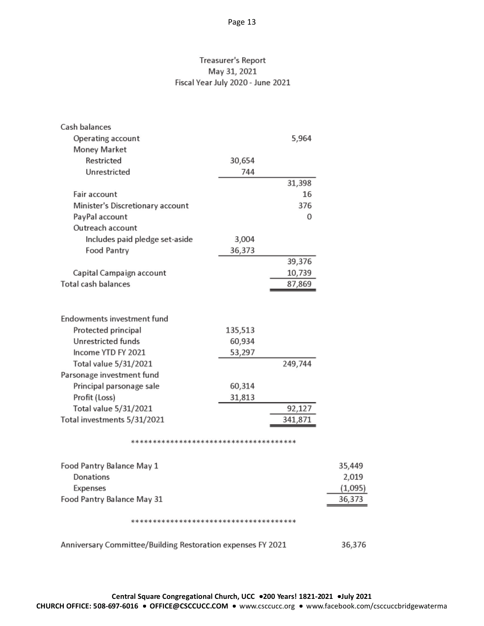## Treasurer's Report May 31, 2021 Fiscal Year July 2020 - June 2021

| Cash balances                    |         |         |
|----------------------------------|---------|---------|
| Operating account                |         | 5,964   |
| Money Market                     |         |         |
| Restricted                       | 30,654  |         |
| Unrestricted                     | 744     |         |
|                                  |         | 31,398  |
| Fair account                     |         | 16      |
| Minister's Discretionary account |         | 376     |
| PayPal account                   |         | 0       |
| Outreach account                 |         |         |
| Includes paid pledge set-aside   | 3,004   |         |
| Food Pantry                      | 36,373  |         |
|                                  |         | 39,376  |
| Capital Campaign account         |         | 10,739  |
| Total cash balances              |         | 87,869  |
|                                  |         |         |
| Endowments investment fund       |         |         |
| Protected principal              | 135,513 |         |
| Unrestricted funds               | 60,934  |         |
| Income YTD FY 2021               | 53,297  |         |
| Total value 5/31/2021            |         | 249,744 |
| Parsonage investment fund        |         |         |
| Principal parsonage sale         | 60,314  |         |
| Profit (Loss)                    | 31,813  |         |
| Total value 5/31/2021            |         | 92,127  |
| Total investments 5/31/2021      |         | 341,871 |
|                                  |         |         |
|                                  |         |         |
| Food Pantry Balance May 1        |         |         |
| Donations                        |         |         |
| Expenses                         |         |         |
| Food Pantry Balance May 31       |         |         |
|                                  |         |         |

Anniversary Committee/Building Restoration expenses FY 2021 36,376

35,449 2,019  $(1,095)$ 36,373